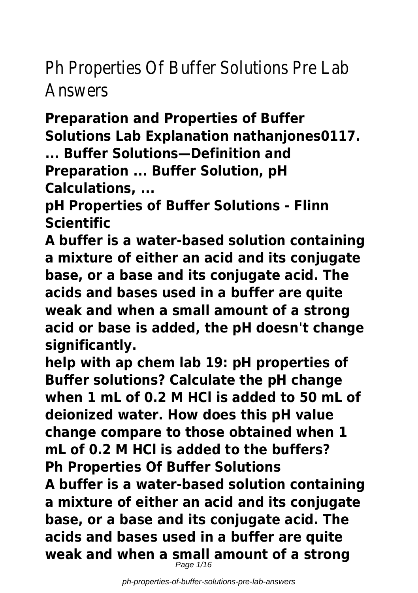# Ph Properties Of Buffer Solutions Pre Lab Answers

**Preparation and Properties of Buffer Solutions Lab Explanation nathanjones0117.**

**... Buffer Solutions—Definition and Preparation ... Buffer Solution, pH Calculations, ...**

**pH Properties of Buffer Solutions - Flinn Scientific**

**A buffer is a water-based solution containing a mixture of either an acid and its conjugate base, or a base and its conjugate acid. The acids and bases used in a buffer are quite weak and when a small amount of a strong acid or base is added, the pH doesn't change significantly.**

**help with ap chem lab 19: pH properties of Buffer solutions? Calculate the pH change when 1 mL of 0.2 M HCl is added to 50 mL of deionized water. How does this pH value change compare to those obtained when 1 mL of 0.2 M HCl is added to the buffers? Ph Properties Of Buffer Solutions A buffer is a water-based solution containing a mixture of either an acid and its conjugate base, or a base and its conjugate acid. The acids and bases used in a buffer are quite weak and when a small amount of a strong** Page  $1/16$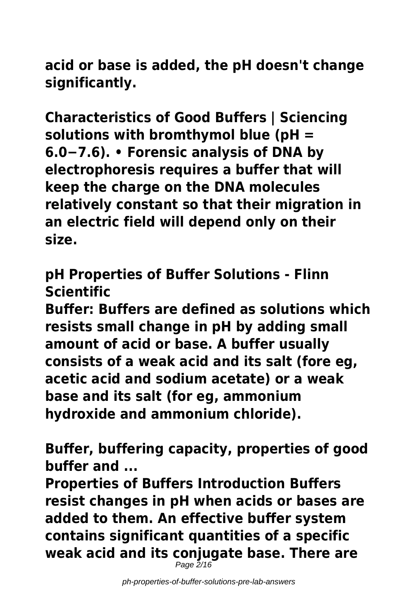**acid or base is added, the pH doesn't change significantly.**

**Characteristics of Good Buffers | Sciencing solutions with bromthymol blue (pH = 6.0−7.6). • Forensic analysis of DNA by electrophoresis requires a buffer that will keep the charge on the DNA molecules relatively constant so that their migration in an electric field will depend only on their size.**

**pH Properties of Buffer Solutions - Flinn Scientific**

**Buffer: Buffers are defined as solutions which resists small change in pH by adding small amount of acid or base. A buffer usually consists of a weak acid and its salt (fore eg, acetic acid and sodium acetate) or a weak base and its salt (for eg, ammonium hydroxide and ammonium chloride).**

**Buffer, buffering capacity, properties of good buffer and ...**

**Properties of Buffers Introduction Buffers resist changes in pH when acids or bases are added to them. An effective buffer system contains significant quantities of a specific weak acid and its conjugate base. There are** Page  $2/16$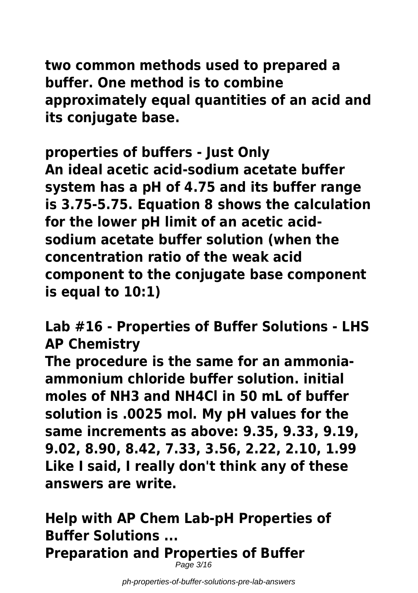**two common methods used to prepared a buffer. One method is to combine approximately equal quantities of an acid and its conjugate base.**

**properties of buffers - Just Only An ideal acetic acid-sodium acetate buffer system has a pH of 4.75 and its buffer range is 3.75-5.75. Equation 8 shows the calculation for the lower pH limit of an acetic acidsodium acetate buffer solution (when the concentration ratio of the weak acid component to the conjugate base component is equal to 10:1)**

**Lab #16 - Properties of Buffer Solutions - LHS AP Chemistry**

**The procedure is the same for an ammoniaammonium chloride buffer solution. initial moles of NH3 and NH4Cl in 50 mL of buffer solution is .0025 mol. My pH values for the same increments as above: 9.35, 9.33, 9.19, 9.02, 8.90, 8.42, 7.33, 3.56, 2.22, 2.10, 1.99 Like I said, I really don't think any of these answers are write.**

**Help with AP Chem Lab-pH Properties of Buffer Solutions ... Preparation and Properties of Buffer** Page 3/16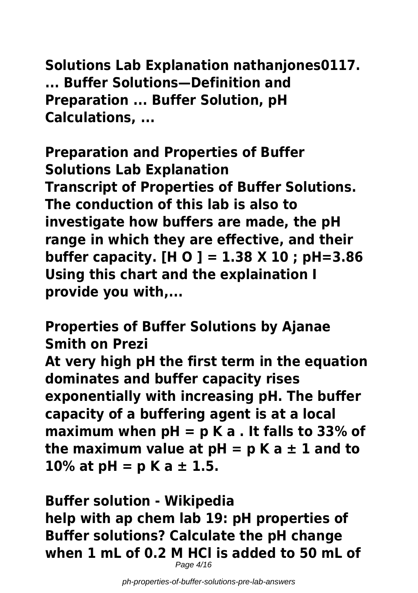**Solutions Lab Explanation nathanjones0117. ... Buffer Solutions—Definition and Preparation ... Buffer Solution, pH Calculations, ...**

**Preparation and Properties of Buffer Solutions Lab Explanation Transcript of Properties of Buffer Solutions. The conduction of this lab is also to investigate how buffers are made, the pH range in which they are effective, and their buffer capacity. [H O ] = 1.38 X 10 ; pH=3.86 Using this chart and the explaination I provide you with,...**

**Properties of Buffer Solutions by Ajanae Smith on Prezi At very high pH the first term in the equation dominates and buffer capacity rises exponentially with increasing pH. The buffer capacity of a buffering agent is at a local maximum when pH = p K a . It falls to 33% of** the maximum value at  $pH = pK a \pm 1$  and to **10% at pH = p K a ± 1.5.**

**Buffer solution - Wikipedia help with ap chem lab 19: pH properties of Buffer solutions? Calculate the pH change when 1 mL of 0.2 M HCl is added to 50 mL of** Page 4/16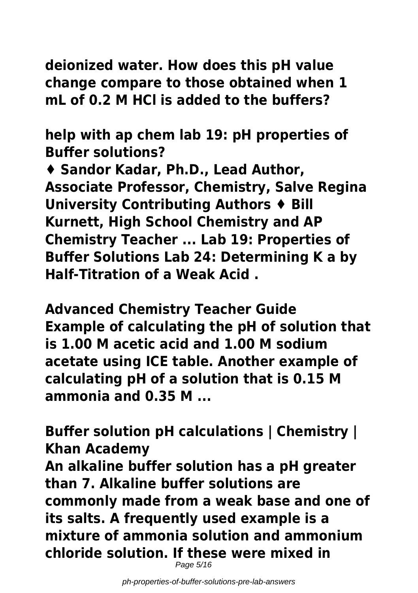**deionized water. How does this pH value change compare to those obtained when 1 mL of 0.2 M HCl is added to the buffers?**

**help with ap chem lab 19: pH properties of Buffer solutions?**

**♦ Sandor Kadar, Ph.D., Lead Author, Associate Professor, Chemistry, Salve Regina University Contributing Authors ♦ Bill Kurnett, High School Chemistry and AP Chemistry Teacher ... Lab 19: Properties of Buffer Solutions Lab 24: Determining K a by Half-Titration of a Weak Acid .**

**Advanced Chemistry Teacher Guide Example of calculating the pH of solution that is 1.00 M acetic acid and 1.00 M sodium acetate using ICE table. Another example of calculating pH of a solution that is 0.15 M ammonia and 0.35 M ...**

**Buffer solution pH calculations | Chemistry | Khan Academy**

**An alkaline buffer solution has a pH greater than 7. Alkaline buffer solutions are commonly made from a weak base and one of its salts. A frequently used example is a mixture of ammonia solution and ammonium chloride solution. If these were mixed in**

Page 5/16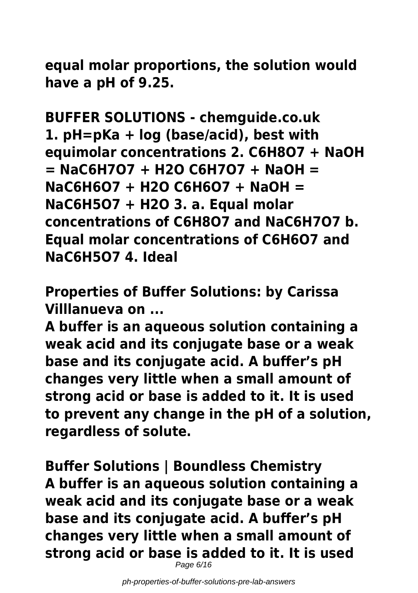**equal molar proportions, the solution would have a pH of 9.25.**

**BUFFER SOLUTIONS - chemguide.co.uk 1. pH=pKa + log (base/acid), best with equimolar concentrations 2. C6H8O7 + NaOH = NaC6H7O7 + H2O C6H7O7 + NaOH = NaC6H6O7 + H2O C6H6O7 + NaOH = NaC6H5O7 + H2O 3. a. Equal molar concentrations of C6H8O7 and NaC6H7O7 b. Equal molar concentrations of C6H6O7 and NaC6H5O7 4. Ideal**

**Properties of Buffer Solutions: by Carissa Villlanueva on ...**

**A buffer is an aqueous solution containing a weak acid and its conjugate base or a weak base and its conjugate acid. A buffer's pH changes very little when a small amount of strong acid or base is added to it. It is used to prevent any change in the pH of a solution, regardless of solute.**

**Buffer Solutions | Boundless Chemistry A buffer is an aqueous solution containing a weak acid and its conjugate base or a weak base and its conjugate acid. A buffer's pH changes very little when a small amount of strong acid or base is added to it. It is used**

Page 6/16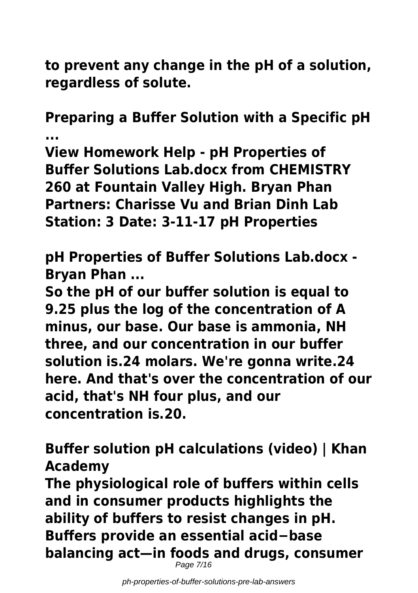**to prevent any change in the pH of a solution, regardless of solute.**

**Preparing a Buffer Solution with a Specific pH ...**

**View Homework Help - pH Properties of Buffer Solutions Lab.docx from CHEMISTRY 260 at Fountain Valley High. Bryan Phan Partners: Charisse Vu and Brian Dinh Lab Station: 3 Date: 3-11-17 pH Properties**

**pH Properties of Buffer Solutions Lab.docx - Bryan Phan ...**

**So the pH of our buffer solution is equal to 9.25 plus the log of the concentration of A minus, our base. Our base is ammonia, NH three, and our concentration in our buffer solution is.24 molars. We're gonna write.24 here. And that's over the concentration of our acid, that's NH four plus, and our concentration is.20.**

**Buffer solution pH calculations (video) | Khan Academy**

**The physiological role of buffers within cells and in consumer products highlights the ability of buffers to resist changes in pH. Buffers provide an essential acid−base balancing act—in foods and drugs, consumer** Page 7/16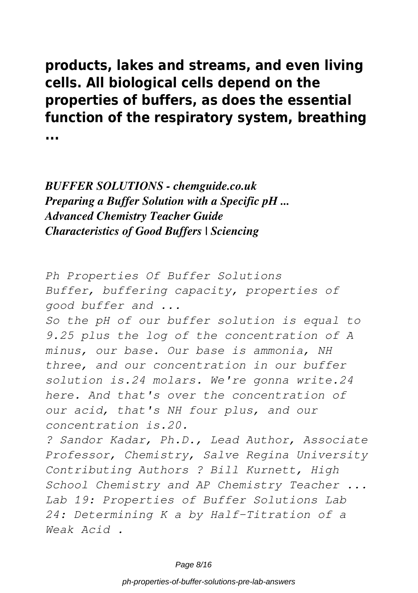**products, lakes and streams, and even living cells. All biological cells depend on the properties of buffers, as does the essential function of the respiratory system, breathing ...**

#### *BUFFER SOLUTIONS - chemguide.co.uk Preparing a Buffer Solution with a Specific pH ... Advanced Chemistry Teacher Guide Characteristics of Good Buffers | Sciencing*

*Ph Properties Of Buffer Solutions Buffer, buffering capacity, properties of good buffer and ...*

*So the pH of our buffer solution is equal to 9.25 plus the log of the concentration of A minus, our base. Our base is ammonia, NH three, and our concentration in our buffer solution is.24 molars. We're gonna write.24 here. And that's over the concentration of our acid, that's NH four plus, and our concentration is.20.*

*? Sandor Kadar, Ph.D., Lead Author, Associate Professor, Chemistry, Salve Regina University Contributing Authors ? Bill Kurnett, High School Chemistry and AP Chemistry Teacher ... Lab 19: Properties of Buffer Solutions Lab 24: Determining K a by Half-Titration of a Weak Acid .*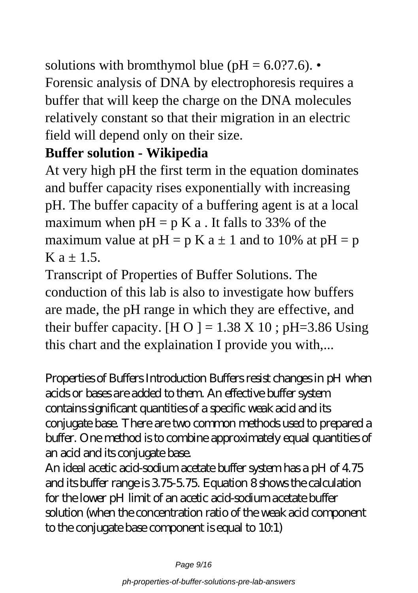solutions with bromthymol blue ( $pH = 6.0$ ?7.6). Forensic analysis of DNA by electrophoresis requires a buffer that will keep the charge on the DNA molecules relatively constant so that their migration in an electric field will depend only on their size.

### **Buffer solution - Wikipedia**

At very high pH the first term in the equation dominates and buffer capacity rises exponentially with increasing pH. The buffer capacity of a buffering agent is at a local maximum when  $pH = p K a$ . It falls to 33% of the maximum value at  $pH = p K a \pm 1$  and to 10% at  $pH = p$  $K$  a + 1.5.

Transcript of Properties of Buffer Solutions. The conduction of this lab is also to investigate how buffers are made, the pH range in which they are effective, and their buffer capacity. [H O ] =  $1.38 \text{ X } 10$ ; pH=3.86 Using this chart and the explaination I provide you with,...

Properties of Buffers Introduction Buffers resist changes in pH when acids or bases are added to them. An effective buffer system contains significant quantities of a specific weak acid and its conjugate base. There are two common methods used to prepared a buffer. One method is to combine approximately equal quantities of an acid and its conjugate base.

An ideal acetic acid-sodium acetate buffer system has a pH of 4.75 and its buffer range is 3.75-5.75. Equation 8 shows the calculation for the lower pH limit of an acetic acid-sodium acetate buffer solution (when the concentration ratio of the weak acid component to the conjugate base component is equal to  $10.1$ )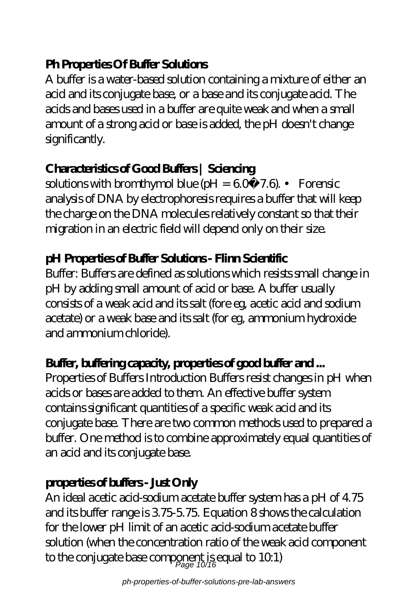#### **Ph Properties Of Buffer Solutions**

A buffer is a water-based solution containing a mixture of either an acid and its conjugate base, or a base and its conjugate acid. The acids and bases used in a buffer are quite weak and when a small amount of a strong acid or base is added, the pH doesn't change significantly.

#### **Characteristics of Good Buffers | Sciencing**

solutions with bromthymol blue (pH =  $60-7.6$ ). • Forensic analysis of DNA by electrophoresis requires a buffer that will keep the charge on the DNA molecules relatively constant so that their migration in an electric field will depend only on their size.

#### **pH Properties of Buffer Solutions - Flinn Scientific**

Buffer: Buffers are defined as solutions which resists small change in pH by adding small amount of acid or base. A buffer usually consists of a weak acid and its salt (fore eg, acetic acid and sodium acetate) or a weak base and its salt (for eg, ammonium hydroxide and ammonium chloride).

### **Buffer, buffering capacity, properties of good buffer and ...**

Properties of Buffers Introduction Buffers resist changes in pH when acids or bases are added to them. An effective buffer system contains significant quantities of a specific weak acid and its conjugate base. There are two common methods used to prepared a buffer. One method is to combine approximately equal quantities of an acid and its conjugate base.

#### **properties of buffers - Just Only**

An ideal acetic acid-sodium acetate buffer system has a pH of 4.75 and its buffer range is 3.75-5.75. Equation 8 shows the calculation for the lower pH limit of an acetic acid-sodium acetate buffer solution (when the concentration ratio of the weak acid component to the conjugate base component is equal to 10.1)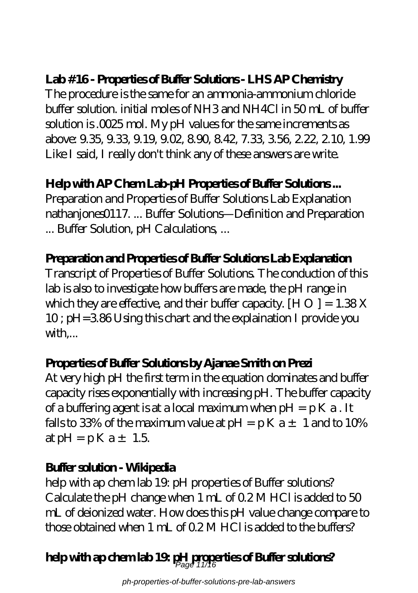### **Lab #16 - Properties of Buffer Solutions - LHS AP Chemistry**

The procedure is the same for an ammonia-ammonium chloride buffer solution. initial moles of NH3 and NH4Cl in 50 mL of buffer solution is .0025 mol. My pH values for the same increments as above: 9.35, 9.33, 9.19, 9.02, 8.90, 8.42, 7.33, 3.56, 2.22, 2.10, 1.99 Like I said, I really don't think any of these answers are write.

### **Help with AP Chem Lab-pH Properties of Buffer Solutions ...**

Preparation and Properties of Buffer Solutions Lab Explanation nathanjones0117. ... Buffer Solutions—Definition and Preparation ... Buffer Solution, pH Calculations, ...

#### **Preparation and Properties of Buffer Solutions Lab Explanation**

Transcript of Properties of Buffer Solutions. The conduction of this lab is also to investigate how buffers are made, the pH range in which they are effective, and their buffer capacity.  $[H O] = 1.38X$ 10 ; pH=3.86 Using this chart and the explaination I provide you with,...

#### **Properties of Buffer Solutions by Ajanae Smith on Prezi**

At very high pH the first term in the equation dominates and buffer capacity rises exponentially with increasing pH. The buffer capacity of a buffering agent is at a local maximum when  $pH = pK a$ . It falls to 33% of the maximum value at  $pH = pK a \pm 1$  and to 10% at  $pH = pK a \pm 1.5$ 

#### **Buffer solution - Wikipedia**

help with ap chem lab 19: pH properties of Buffer solutions? Calculate the pH change when 1 mL of 0.2 M HCl is added to 50 mL of deionized water. How does this pH value change compare to those obtained when 1 mL of 0.2 M HCl is added to the buffers?

# **help with ap chem lab 19: pH properties of Buffer solutions?** Page 11/16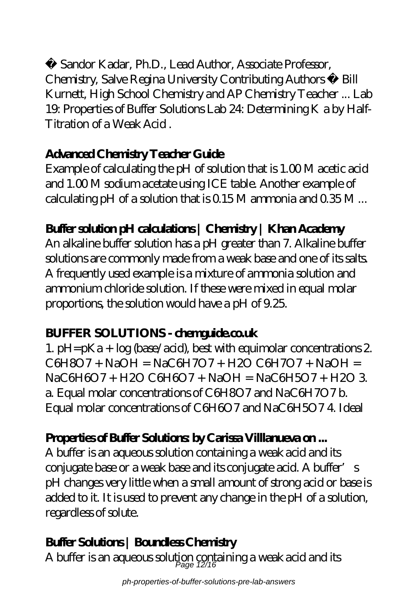Sandor Kadar, Ph.D., Lead Author, Associate Professor, Chemistry, Salve Regina University Contributing Authors ♦ Bill Kurnett, High School Chemistry and AP Chemistry Teacher ... Lab 19: Properties of Buffer Solutions Lab 24: Determining K a by Half-Titration of a Weak Acid .

#### **Advanced Chemistry Teacher Guide**

Example of calculating the pH of solution that is 1.00 M acetic acid and 1.00 M sodium acetate using ICE table. Another example of calculating pH of a solution that is  $0.15M$  ammonia and  $0.35M$ ...

### **Buffer solution pH calculations | Chemistry | Khan Academy**

An alkaline buffer solution has a pH greater than 7. Alkaline buffer solutions are commonly made from a weak base and one of its salts. A frequently used example is a mixture of ammonia solution and ammonium chloride solution. If these were mixed in equal molar proportions, the solution would have a pH of 9.25.

#### **BUFFER SOLUTIONS - chematiche.co.uk**

1. pH=pKa +  $log$  (base/acid), best with equimolar concentrations 2.  $C6H8O7 + NaOH = NaCH7O7 + H2O CH7O7 + NaOH =$ NaC6H6O7 + H2O C6H6O7 + NaOH = NaC6H5O7 + H2O 3. a. Equal molar concentrations of C6H8O7 and NaC6H7O7 b. Equal molar concentrations of C6H6O7 and NaC6H5O7 4. Ideal

### **Properties of Buffer Solutions by Carissa Villlanueva on...**

A buffer is an aqueous solution containing a weak acid and its conjugate base or a weak base and its conjugate acid. A buffer's pH changes very little when a small amount of strong acid or base is added to it. It is used to prevent any change in the pH of a solution, regardless of solute.

## **Buffer Solutions | Boundless Chemistry**

A buffer is an aqueous solution containing a weak acid and its  $\rho_{\text{age 12/16}}$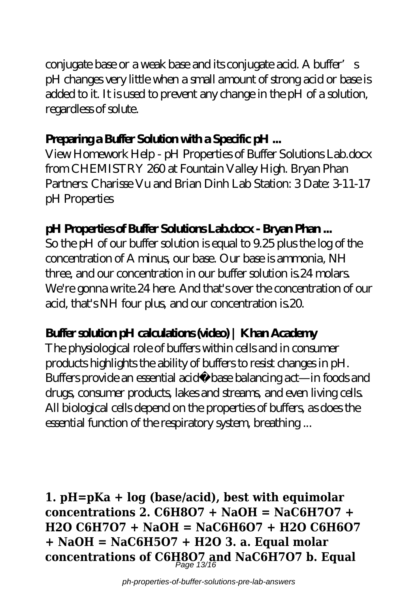conjugate base or a weak base and its conjugate acid. A buffer's pH changes very little when a small amount of strong acid or base is added to it. It is used to prevent any change in the pH of a solution, regardless of solute.

### **Preparing a Buffer Solution with a Specific pH ...**

View Homework Help - pH Properties of Buffer Solutions Lab.docx from CHEMISTRY 260 at Fountain Valley High. Bryan Phan Partners: Charisse Vu and Brian Dinh Lab Station: 3 Date: 3-11-17 pH Properties

### **pH Properties of Buffer Solutions Lab.docx - Bryan Phan ...**

So the pH of our buffer solution is equal to 9.25 plus the log of the concentration of A minus, our base. Our base is ammonia, NH three, and our concentration in our buffer solution is.24 molars. We're gonna write.24 here. And that's over the concentration of our acid, that's NH four plus, and our concentration is.20.

### **Buffer solution pH calculations (video) | Khan Academy**

The physiological role of buffers within cells and in consumer products highlights the ability of buffers to resist changes in pH. Buffers provide an essential acid−base balancing act—in foods and drugs, consumer products, lakes and streams, and even living cells. All biological cells depend on the properties of buffers, as does the essential function of the respiratory system, breathing ...

**1. pH=pKa + log (base/acid), best with equimolar concentrations 2. C6H8O7 + NaOH = NaC6H7O7 + H2O C6H7O7 + NaOH = NaC6H6O7 + H2O C6H6O7 + NaOH = NaC6H5O7 + H2O 3. a. Equal molar concentrations of C6H8O7 and NaC6H7O7 b. Equal** Page 13/16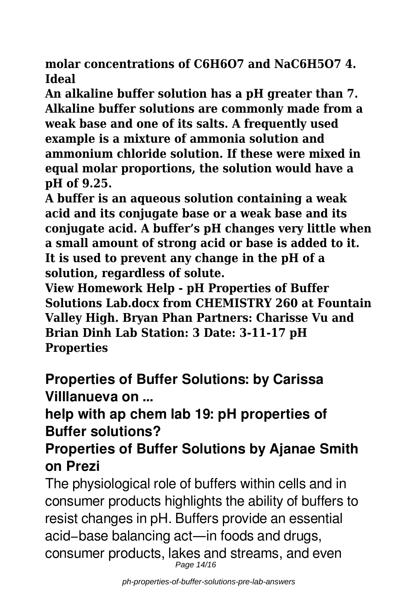**molar concentrations of C6H6O7 and NaC6H5O7 4. Ideal**

**An alkaline buffer solution has a pH greater than 7. Alkaline buffer solutions are commonly made from a weak base and one of its salts. A frequently used example is a mixture of ammonia solution and ammonium chloride solution. If these were mixed in equal molar proportions, the solution would have a pH of 9.25.**

**A buffer is an aqueous solution containing a weak acid and its conjugate base or a weak base and its conjugate acid. A buffer's pH changes very little when a small amount of strong acid or base is added to it. It is used to prevent any change in the pH of a solution, regardless of solute.**

**View Homework Help - pH Properties of Buffer Solutions Lab.docx from CHEMISTRY 260 at Fountain Valley High. Bryan Phan Partners: Charisse Vu and Brian Dinh Lab Station: 3 Date: 3-11-17 pH Properties**

**Properties of Buffer Solutions: by Carissa Villlanueva on ...**

## **help with ap chem lab 19: pH properties of Buffer solutions?**

## **Properties of Buffer Solutions by Ajanae Smith on Prezi**

The physiological role of buffers within cells and in consumer products highlights the ability of buffers to resist changes in pH. Buffers provide an essential acid−base balancing act—in foods and drugs, consumer products, lakes and streams, and even Page 14/16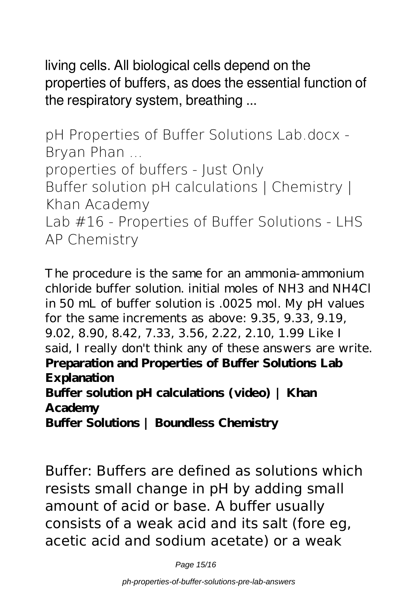living cells. All biological cells depend on the properties of buffers, as does the essential function of the respiratory system, breathing ...

**pH Properties of Buffer Solutions Lab.docx - Bryan Phan ... properties of buffers - Just Only Buffer solution pH calculations | Chemistry | Khan Academy Lab #16 - Properties of Buffer Solutions - LHS AP Chemistry**

The procedure is the same for an ammonia-ammonium chloride buffer solution. initial moles of NH3 and NH4Cl in 50 mL of buffer solution is .0025 mol. My pH values for the same increments as above: 9.35, 9.33, 9.19, 9.02, 8.90, 8.42, 7.33, 3.56, 2.22, 2.10, 1.99 Like I said, I really don't think any of these answers are write. **Preparation and Properties of Buffer Solutions Lab Explanation Buffer solution pH calculations (video) | Khan Academy Buffer Solutions | Boundless Chemistry**

Buffer: Buffers are defined as solutions which resists small change in pH by adding small amount of acid or base. A buffer usually consists of a weak acid and its salt (fore eg, acetic acid and sodium acetate) or a weak

Page 15/16